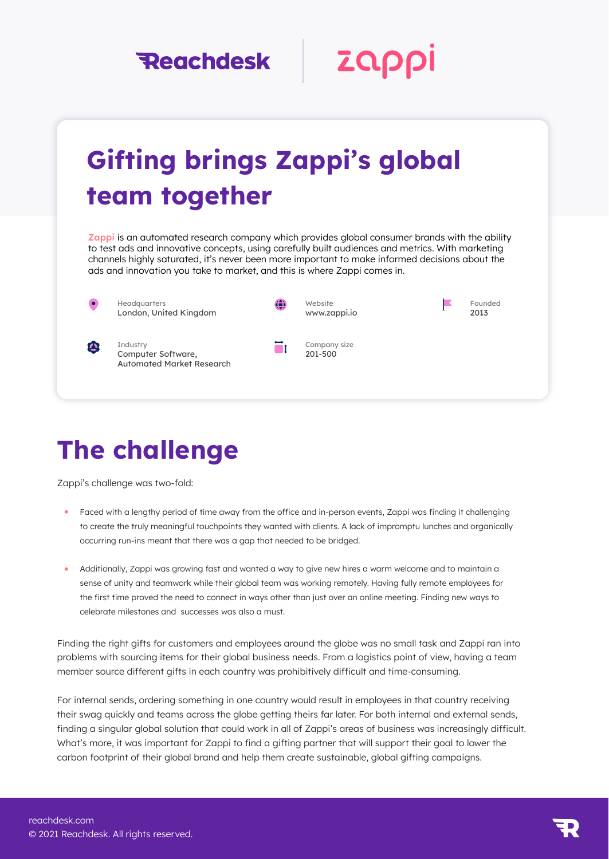### **Reachdesk**

Zappl

# Gifting brings Zappi's global team together

[Zappi i](https://www.zappi.io/web/)s an automated research company which provides global consumer brands with the ability to test ads and innovative concepts, using carefully built audiences and metrics. With marketing channels highly saturated, it's never been more important to make informed decisions about the ads and innovation you take to market, and this is where Zappi comes in.

**Headquarters** London, United Kingdom



Ξı

Website www.zappi.io





**Industry** Computer Software, Automated Market Research Company size 201-500

## The challenge

Zappi's challenge was two-fold:

- Faced with a lengthy period of time away from the office and in-person events, Zappi was finding it challenging to create the truly meaningful touchpoints they wanted with clients. A lack of impromptu lunches and organically occurring run-ins meant that there was a gap that needed to be bridged.
- Additionally, Zappi was growing fast and wanted a way to give new hires a warm welcome and to maintain a sense of unity and teamwork while their global team was working remotely. Having fully remote employees for the first time proved the need to connect in ways other than just over an online meeting. Finding new ways to celebrate milestones and successes was also a must.

Finding the right gifts for customers and employees around the globe was no small task and Zappi ran into problems with sourcing items for their global business needs. From a logistics point of view, having a team member source different gifts in each country was prohibitively difficult and time-consuming.

For internal sends, ordering something in one country would result in employees in that country receiving their swag quickly and teams across the globe getting theirs far later. For both internal and external sends, finding a singular global solution that could work in all of Zappi's areas of business was increasingly difficult. What's more, it was important for Zappi to find a gifting partner that will support their goal to lower the carbon footprint of their global brand and help them create sustainable, global gifting campaigns.